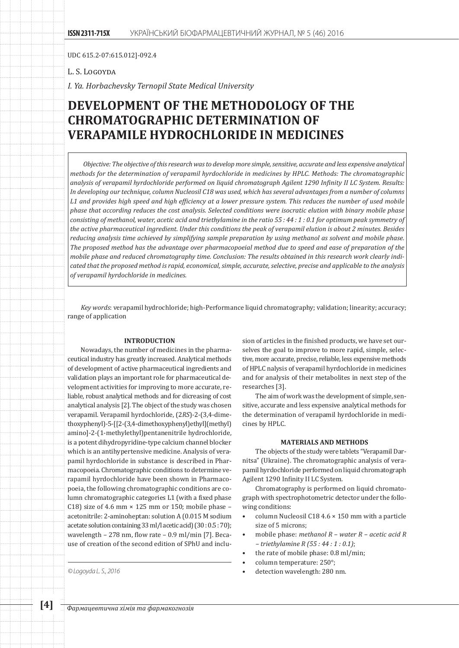UDC 615.2-07:615.012]-092.4

L. S. Logoyda

*I. Ya. Horbachevsky Ternopil State Medical University*

# **DEVELOPMENT OF THE METHODOLOGY OF THE CHROMATOGRAPHIC DETERMINATION OF VERAPAMILE HYDROCHLORIDE IN MEDICINES**

*Objective: The objective of this research was to develop more simple, sensitive, accurate and less expensive analytical methods for the determination of verapamil hyrdochloride in medicines by HPLC. Methods: The chromatographic analysis of verapamil hyrdochloride performed on liquid chromatograph Agilent 1290 Infinity II LC System. Results: In developing our technique, column Nucleosil C18 was used, which has several advantages from a number of columns L1 and provides high speed and high efficiency at a lower pressure system. This reduces the number of used mobile phase that according reduces the cost analysis. Selected conditions were isocratic elution with binary mobile phase consisting of methanol, water, acetic acid and triethylamine in the ratio 55 : 44 : 1 : 0.1 for optimum peak symmetry of the active pharmaceutical ingredient. Under this conditions the peak of verapamil elution is about 2 minutes. Besides reducing analysis time achieved by simplifying sample preparation by using methanol as solvent and mobile phase. The proposed method has the advantage over pharmacopoeial method due to speed and ease of preparation of the mobile phase and reduced chromatography time. Conclusion: The results obtained in this research work clearly indicated that the proposed method is rapid, economical, simple, accurate, selective, precise and applicable to the analysis of verapamil hyrdochloride in medicines.*

*Key words*: verapamil hydrochloride; high-Performance liquid chromatography; validation; linearity; accuracy; range of application

## **INTRODUCTION**

Nowadays, the number of medicines in the pharmaceutical industry has greatly increased. Analytical methods of development of active pharmaceutical ingredients and validation plays an important role for pharmaceutical development activities for improving to more accurate, reliable, robust analytical methods and for dicreasing of cost analytical analysis [2]. The object of the study was chosen verapamil. Verapamil hyrdochloride, (2*RS*)-2-(3,4-dimethoxyphenyl)-5-[[2-(3,4-dimethoxyphenyl)ethyl](methyl) amino]-2-(1-methylethyl)pentanenitrile hydrochloride, is a potent dihydropyridine-type calcium channel blocker which is an antihypertensive medicine. Analysis of verapamil hyrdochloride in substance is described in Pharmacopoeia. Chromatographic conditions to determine verapamil hyrdochloride have been shown in Pharmacopoeia, the following chromatographic conditions are column chromatographic categories L1 (with a fixed phase C18) size of 4.6 mm  $\times$  125 mm or 150; mobile phase acetonitrile: 2-aminoheptan: solution A (0.015 M sodium acetate solution containing 33 ml/l acetic acid) (30 : 0.5 : 70); wavelength – 278 nm, flow rate – 0.9 ml/min [7]. Because of creation of the second edition of SPhU and inclu-

sion of articles in the finished products, we have set ourselves the goal to improve to more rapid, simple, selective, more accurate, precise, reliable, less expensive methods of HPLC nalysis of verapamil hyrdochloride in medicines and for analysis of their metabolites in next step of the researches [3].

The aim of work was the development of simple, sensitive, accurate and less expensive analytical methods for the determination of verapamil hyrdochloride in medicines by HPLC.

#### **MATERIALS AND METHODS**

The objects of the study were tablets "Verapamil Darnitsa" (Ukraine). The chromatographic analysis of verapamil hyrdochloride performed on liquid chromatograph Agilent 1290 Infinity II LC System.

Chromatography is performed on liquid chromatograph with spectrophotometric detector under the following conditions:

- column Nucleosil C18 4.6  $\times$  150 mm with a particle size of 5 microns;
- mobile phase: *methanol R water R acetic acid R – triethylamine R (55 : 44 : 1 : 0.1)*;
- the rate of mobile phase: 0.8 ml/min;
- column temperature: 250°;
- *© Logoyda L. S., 2016* detection wavelength: 280 nm.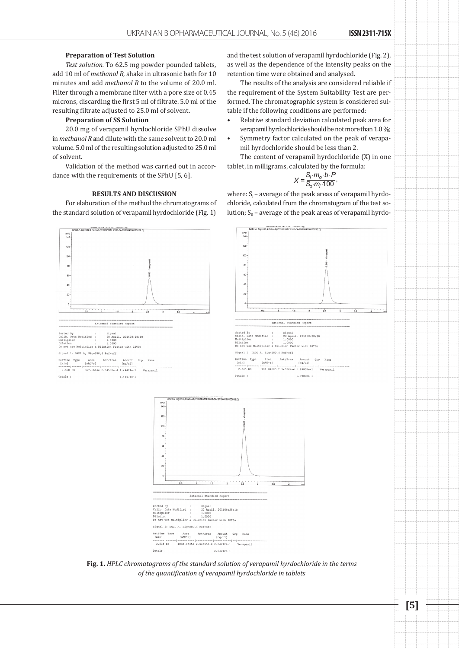#### **Preparation of Test Solution**

*Test solution.* To 62.5 mg powder pounded tablets, add 10 ml of *methanol R*, shake in ultrasonic bath for 10 minutes and add *methanol R* to the volume of 20.0 ml. Filter through a membrane filter with a pore size of 0.45 microns, discarding the first 5 ml of filtrate. 5.0 ml of the resulting filtrate adjusted to 25.0 ml of solvent.

#### **Preparation of SS Solution**

20.0 mg of verapamil hyrdochloride SPhU dissolve in *methanol R* and dilute with the same solvent to 20.0 ml volume. 5.0 ml of the resulting solution adjusted to 25.0 ml of solvent.

Validation of the method was carried out in accordance with the requirements of the SPhU [5, 6].

## **RESULTS AND DISCUSSION**

For elaboration of the method the chromatograms of the standard solution of verapamil hyrdochloride (Fig. 1)

and the test solution of verapamil hyrdochloride (Fig. 2), as well as the dependence of the intensity peaks on the retention time were obtained and analysed.

The results of the analysis are considered reliable if the requirement of the System Suitability Test are performed. The chromatographic system is considered suitable if the following conditions are performed:

- Relative standard deviation calculated peak area for verapamil hyrdochloride should be not more than 1.0 %;
- Symmetry factor calculated on the peak of verapamil hyrdochloride should be less than 2.

The content of verapamil hyrdochloride (X) in one tablet, in milligrams, calculated by the formula:

$$
X = \frac{S_i \cdot m_o \cdot b \cdot P}{S_o \cdot m_i \cdot 100},
$$

where:  $S_i$  – average of the peak areas of verapamil hyrdochloride, calculated from the chromatogram of the test solution;  $S_0$  – average of the peak areas of verapamil hyrdo-



**Fig. 1.** *HPLC chromatograms of the standard solution of verapamil hyrdochloride in the terms of the quantification of verapamil hyrdochloride in tablets*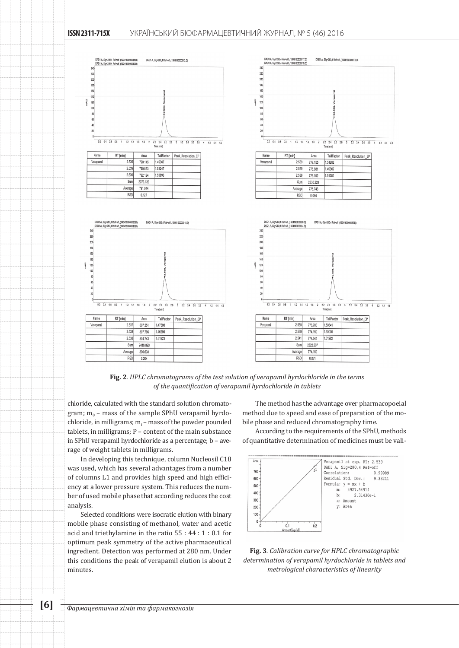



chloride, calculated with the standard solution chromatogram;  $m_0$  – mass of the sample SPhU verapamil hyrdo- $\,$  chloride, in milligrams;  $\rm m_{i}$  – mass of the powder pounded tablets, in milligrams; P – content of the main substance in SPhU verapamil hyrdochloride as a percentage; b – average of weight tablets in milligrams.

In developing this technique, column Nucleosil C18 was used, which has several advantages from a number of columns L1 and provides high speed and high efficiency at a lower pressure system. This reduces the number of used mobile phase that according reduces the cost analysis.

Selected conditions were isocratic elution with binary mobile phase consisting of methanol, water and acetic acid and triethylamine in the ratio 55 : 44 : 1 : 0.1 for optimum peak symmetry of the active pharmaceutical ingredient. Detection was performed at 280 nm. Under this conditions the peak of verapamil elution is about 2 minutes.

The method has the advantage over pharmacopoeial method due to speed and ease of preparation of the mobile phase and reduced chromatography time.

According to the requirements of the SPhU, methods of quantitative determination of medicines must be vali-



**Fig. 3***. Calibration curve for HPLC chromatographic determination of verapamil hyrdochloride in tablets and metrological characteristics of linearity*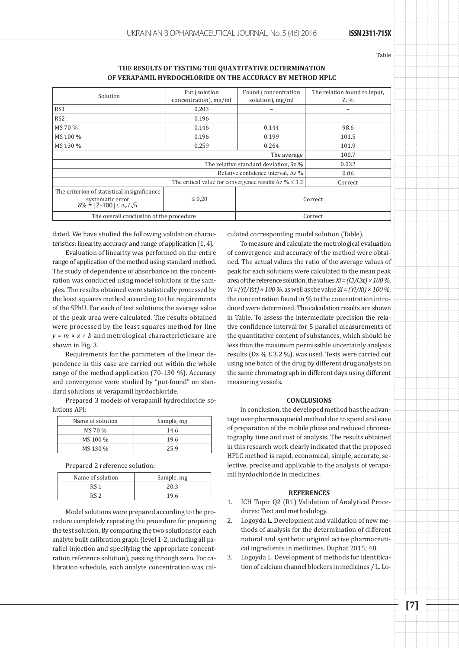Table

#### **THE RESULTS OF TESTING THE QUANTITATIVE DETERMINATION OF VERAPAMIL HYRDOCHLORIDE ON THE ACCURACY BY METHOD HPLC**

| Solution                                                                                                                    | Put (solution         | Found (concentration | The relation found to input. |
|-----------------------------------------------------------------------------------------------------------------------------|-----------------------|----------------------|------------------------------|
|                                                                                                                             | concentration), mg/ml | solution), mg/ml     | $Z, \mathcal{Y}_0$           |
| RS <sub>1</sub>                                                                                                             | 0.203                 | -                    |                              |
| RS <sub>2</sub>                                                                                                             | 0.196                 |                      |                              |
| MS 70 %                                                                                                                     | 0.146                 | 0.144                | 98.6                         |
| MS 100 %                                                                                                                    | 0.196                 | 0.199                | 101.5                        |
| MS 130 %                                                                                                                    | 0.259                 | 0.264                | 101.9                        |
|                                                                                                                             |                       | The average          | 100.7                        |
| The relative standard deviation, Sz %                                                                                       |                       |                      | 0.032                        |
| Relative confidence interval, $\Delta z$ %                                                                                  |                       | 0.06                 |                              |
| The critical value for convergence results $\Delta z$ % $\leq$ 3.2                                                          |                       | Correct              |                              |
| The criterion of statistical insignificance<br>systematic error<br>$\delta\% =  \overline{Z} - 100  \leq \Delta_z/\sqrt{n}$ | $\leq 0.20$           | Correct              |                              |
| The overall conclusion of the procedure                                                                                     |                       | Correct              |                              |

dated. We have studied the following validation characteristics: linearity, accuracy and range of application [1, 4].

Evaluation of linearity was performed on the entire range of application of the method using standard method. The study of dependence of absorbance on the concentration was conducted using model solutions of the samples. The results obtained were statistically processed by the least squares method according to the requirements of the SPhU. For each of test solutions the average value of the peak area were calculated. The results obtained were processed by the least squares method for line  $y = m \times x + b$  and metrological charactericticsare are shown in Fig. 3.

Requirements for the parameters of the linear dependence in this case are carried out within the whole range of the method application (70-130 %). Accuracy and convergence were studied by "put-found" on standard solutions of verapamil hyrdochloride.

Prepared 3 models of verapamil hydrochloride solutions API:

| Name of solution | Sample, mg |
|------------------|------------|
| MS 70 %          | 14.6       |
| MS 100 %         | 19.6       |
| MS 130 %         | 259        |

Prepared 2 reference solution:

| Name of solution | Sample, mg |
|------------------|------------|
| RS <sub>1</sub>  | 20.3       |
| RS <sub>2</sub>  | 19.6       |

Model solutions were prepared according to the procedure completely repeating the procedure for preparing the test solution. By comparing the two solutions for each analyte built calibration graph (level 1-2, including all parallel injection and specifying the appropriate concentration reference solution), passing through zero. For calibration schedule, each analyte concentration was calculated corresponding model solution (Table).

To measure and calculate the metrological evaluation of convergence and accuracy of the method were obtained. The actual values the ratio of the average values of peak for each solutions were calculated to the mean peak area of the reference solution, the values *Xi = (Ci/Cst) × 100 %, Yi = (Yi/Yst) × 100 %*, as well as the value *Zi = (Yi/Xi) × 100 %*, the concentration found in % to the concentration introduced were determined. The calculation results are shown in Table. To assess the intermediate precision the relative confidence interval for 5 parallel measurements of the quantitative content of substances, which should be less than the maximum permissible uncertainly analysis results (Dz % £ 3.2 %), was used. Tests were carried out using one batch of the drug by different drug analysts on the same chromatograph in different days using different measuring vessels.

#### **CONCLUSIONS**

In conclusion, the developed method has the advantage over pharmacopoeial method due to speed and ease of preparation of the mobile phase and reduced chromatography time and cost of analysis. The results obtained in this research work clearly indicated that the proposed HPLC method is rapid, economical, simple, accurate, selective, precise and applicable to the analysis of verapamil hyrdochloride in medicines.

#### **REFERENCES**

- 1. ICH Topic Q2 (R1) Validation of Analytical Procedures: Text and methodology.
- 2. Logoyda L. Development and validation of new methods of analysis for the determination of different natural and synthetic original active pharmaceutical ingredients in medicines. Duphat 2015; 48.
- 3. Logoyda L. Development of methods for identification of calcium channel blockers in medicines / L. Lo-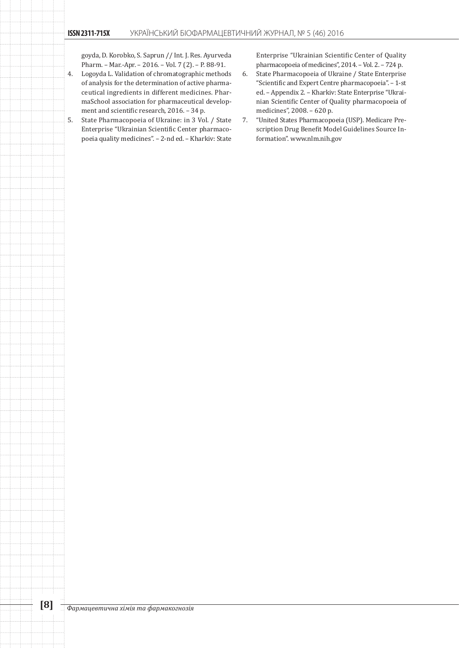goyda, D. Korobko, S. Saprun // Int. J. Res. Ayurveda Pharm. – Mar.-Apr. – 2016. – Vol. 7 (2). – P. 88-91.

- 4. Logoyda L. Validation of chromatographic methods of analysis for the determination of active pharmaceutical ingredients in different medicines. PharmaSchool association for pharmaceutical development and scientific research, 2016. – 34 p.
- 5. State Pharmacopoeia of Ukraine: in 3 Vol. / State Enterprise "Ukrainian Scientific Center pharmacopoeia quality medicines". – 2-nd ed. – Kharkiv: State

Enterprise "Ukrainian Scientific Center of Quality pharmacopoeia of medicines", 2014. – Vol. 2. – 724 p.

- 6. State Pharmacopoeia of Ukraine / State Enterprise "Scientific and Expert Centre pharmacopoeia". – 1-st ed. – Appendix 2. – Kharkiv: State Enterprise "Ukrainian Scientific Center of Quality pharmacopoeia of medicines", 2008. – 620 p.
- 7. "United States Pharmacopoeia (USP). Medicare Prescription Drug Benefit Model Guidelines Source Information". www.nlm.nih.gov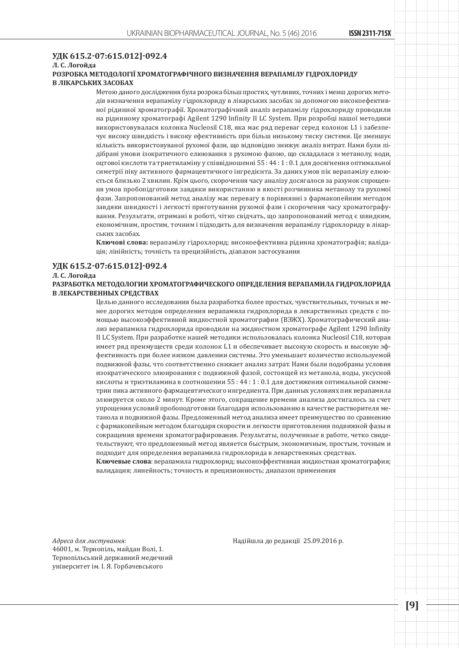## **УДК 615.2-07:615.012]-092.4**

## **Л. С. Логойда**

## **РОЗРОБКА МЕТОДОЛОГІЇ ХРОМАТОГРАФІЧНОГО ВИЗНАЧЕННЯ ВЕРАПАМІЛУ ГІДРОХЛОРИДУ В ЛІКАРСЬКИХ ЗАСОБАХ**

Метою даного дослідження була розрока більш простих, чутливих, точних і менш дорогих методів визначення верапамілу гідрохлориду в лікарських засобах за допомогою високоефективної рідинної хроматографії. Хроматографічний аналіз верапамілу гідрохлориду проводили на рідинному хроматографі Agilent 1290 Infinity II LC System. При розробці нашої методики використовувалася колонка Nucleosil С18, яка має ряд переваг серед колонок L1 і забезпечує високу швидкість і високу ефективність при більш низькому тиску системи. Це зменшує кількість використовуваної рухомої фази, що відповідно знижує аналіз витрат. Нами були підібрані умови ізократичного елюювання з рухомою фазою, що складалася з метанолу, води, оцтової кислоти та триетиламіну у співвідношенні 55 : 44 : 1 : 0.1 для досягнення оптимальної симетрії піку активного фармацевтичного інгредієнта. За даних умов пік верапамілу елююється близько 2 хвилин. Крім цього, скорочення часу аналізу досягалося за рахунок спрощення умов пробопідготовки завдяки використанню в якості розчинника метанолу та рухомої фази. Запропонований метод аналізу має перевагу в порівнянні з фармакопейним методом завдяки швидкості і легкості приготування рухомої фази і скорочення часу хроматографування. Результати, отримані в роботі, чітко свідчать, що запропонований метод є швидким, економічним, простим, точним і підходить для визначення верапамілу гідрохлориду в лікарських засобах.

**Ключові слова:** верапамілу гідрохлорид; високоефективна рідинна хроматографія; валідація; лінійність; точність та прецизійність, діапазон застосування

#### **УДК 615.2-07:615.012]-092.4**

#### **Л. С. Логойда**

**РАЗРАБОТКА МЕТОДОЛОГИИ ХРОМАТОГРАФИЧЕСКОГО ОПРЕДЕЛЕНИЯ ВЕРАПАМИЛА ГИДРОХЛОРИДА В ЛЕКАРСТВЕННЫХ СРЕДСТВАХ**

> Целью данного исследования была разработка более простых, чувствительных, точных и менее дорогих методов определения верапамила гидрохлорида в лекарственных средств с помощью высокоэффективной жидкостной хроматографии (ВЭЖХ). Хроматографический анализ верапамила гидрохлорида проводили на жидкостном хроматографе Agilent 1290 Infinity II LC System. При разработке нашей методики использовалась колонка Nucleosil С18, которая имеет ряд преимуществ среди колонок L1 и обеспечивает высокую скорость и высокую эффективность при более низком давлении системы. Это уменьшает количество используемой подвижной фазы, что соответственно снижает анализ затрат. Нами были подобраны условия изократического элюирования с подвижной фазой, состоящей из метанола, воды, уксусной кислоты и триэтиламина в соотношении 55 : 44 : 1 : 0.1 для достижения оптимальной симметрии пика активного фармацевтического ингредиента. При данных условиях пик верапамила элюируется около 2 минут. Кроме этого, сокращение времени анализа достигалось за счет упрощения условий пробоподготовки благодаря использованию в качестве растворителя метанола и подвижной фазы. Предложенный метод анализа имеет преимущество по сравнению с фармакопейным методом благодаря скорости и легкости приготовления подвижной фазы и сокращения времени хроматографирования. Результаты, полученные в работе, четко свидетельствуют, что предложенный метод является быстрым, экономичным, простым, точным и подходит для определения верапамила гидрохлорида в лекарственных средствах.

> **Ключевые слова**: верапамила гидрохлорид; высокоэффективная жидкостная хроматография; валидация; линейность; точность и прецизионность; диапазон применения

*Адреса для листування:* 46001, м. Тернопіль, майдан Волi, 1. Тернопільський державний медичний університет ім. І. Я. Горбачевського

Надійшла до редакції 25.09.2016 р.